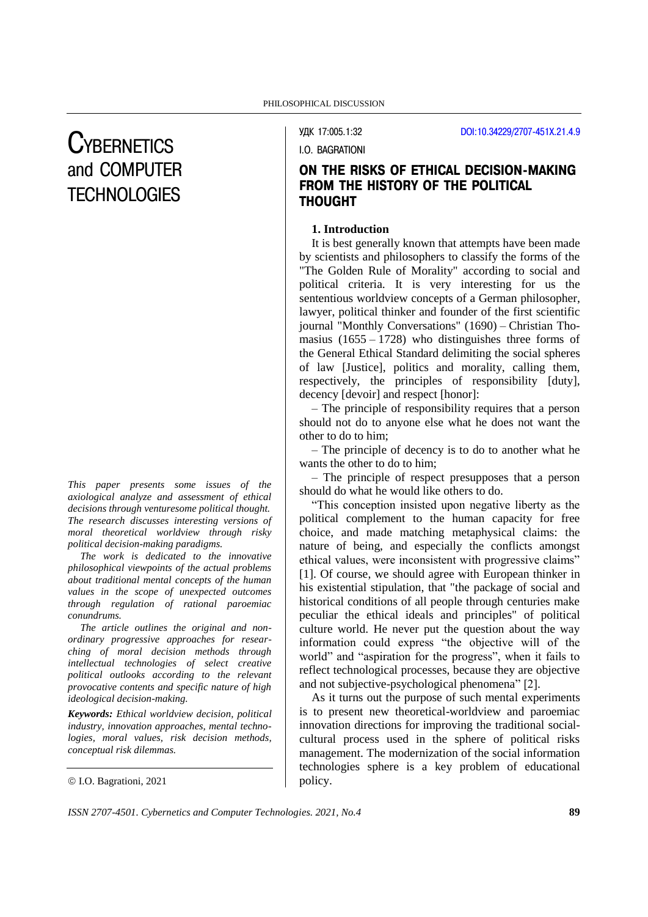# **CYBERNETICS** and COMPUTER **TECHNOLOGIES**

*This paper presents some issues of the axiological analyze and assessment of ethical decisions through venturesome political thought. The research discusses interesting versions of moral theoretical worldview through risky political decision-making paradigms.* 

*The work is dedicated to the innovative philosophical viewpoints of the actual problems about traditional mental concepts of the human values in the scope of unexpected outcomes through regulation of rational paroemiac conundrums.*

*The article outlines the original and nonordinary progressive approaches for researching of moral decision methods through intellectual technologies of select creative political outlooks according to the relevant provocative contents and specific nature of high ideological decision-making.*

*Keywords: Ethical worldview decision, political industry, innovation approaches, mental technologies, moral values, risk decision methods, conceptual risk dilemmas.*

I.O. Bagrationi, 2021

УДК 17:005.1:32 [DOI:10.34229/2707-451X.21.4.9](https://doi.org/10.34229/2707-451X.21.4.9)

I.O. BAGRATIONI

# ON THE RISKS OF ETHICAL DECISION-MAKING FROM THE HISTORY OF THE POLITICAL THOUGHT

# **1. Introduction**

It is best generally known that attempts have been made by scientists and philosophers to classify the forms of the "The Golden Rule of Morality" according to social and political criteria. It is very interesting for us the sententious worldview concepts of a German philosopher, lawyer, political thinker and founder of the first scientific journal "Monthly Conversations" (1690) – Christian Thomasius  $(1655 - 1728)$  who distinguishes three forms of the General Ethical Standard delimiting the social spheres of law [Justice], politics and morality, calling them, respectively, the principles of responsibility [duty], decency [devoir] and respect [honor]:

– The principle of responsibility requires that a person should not do to anyone else what he does not want the other to do to him;

– The principle of decency is to do to another what he wants the other to do to him;

– The principle of respect presupposes that a person should do what he would like others to do.

"This conception insisted upon negative liberty as the political complement to the human capacity for free choice, and made matching metaphysical claims: the nature of being, and especially the conflicts amongst ethical values, were inconsistent with progressive claims" [1]. Of course, we should agree with European thinker in his existential stipulation, that "the package of social and historical conditions of all people through centuries make peculiar the ethical ideals and principles" of political culture world. He never put the question about the way information could express "the objective will of the world" and "aspiration for the progress", when it fails to reflect technological processes, because they are objective and not subjective-psychological phenomena" [2].

As it turns out the purpose of such mental experiments is to present new theoretical-worldview and paroemiac innovation directions for improving the traditional socialcultural process used in the sphere of political risks management. The modernization of the social information technologies sphere is a key problem of educational policy.

*ISSN 2707-4501. Cybernetics and Computer Technologies. 2021, No.4* **89**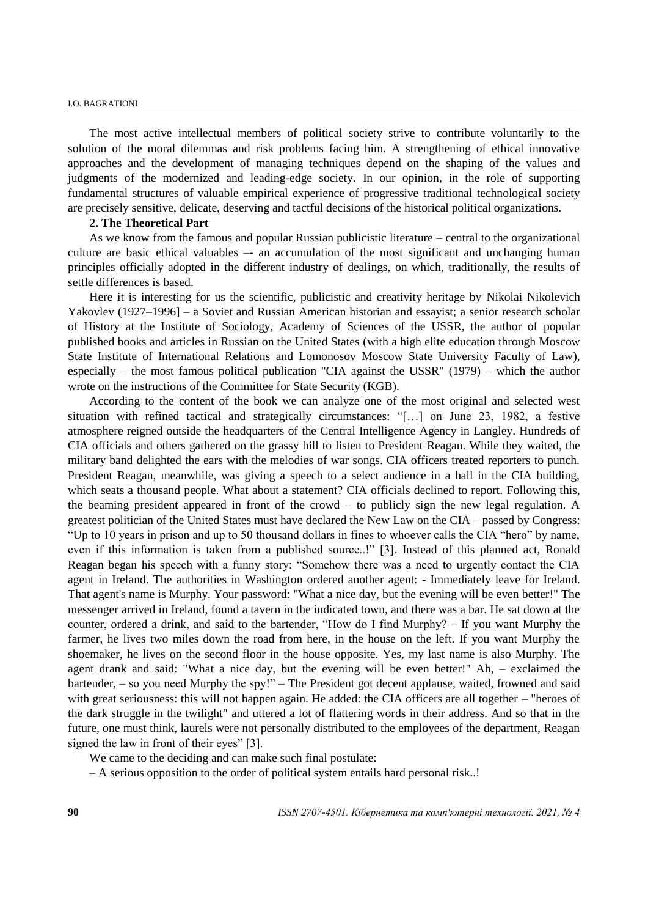The most active intellectual members of political society strive to contribute voluntarily to the solution of the moral dilemmas and risk problems facing him. A strengthening of ethical innovative approaches and the development of managing techniques depend on the shaping of the values and judgments of the modernized and leading-edge society. In our opinion, in the role of supporting fundamental structures of valuable empirical experience of progressive traditional technological society are precisely sensitive, delicate, deserving and tactful decisions of the historical political organizations.

#### **2. The Theoretical Part**

As we know from the famous and popular Russian publicistic literature – central to the organizational culture are basic ethical valuables –- an accumulation of the most significant and unchanging human principles officially adopted in the different industry of dealings, on which, traditionally, the results of settle differences is based.

Here it is interesting for us the scientific, publicistic and creativity heritage by Nikolai Nikolevich Yakovlev (1927–1996] – a Soviet and Russian American historian and essayist; a senior research scholar of History at the Institute of Sociology, Academy of Sciences of the USSR, the author of popular published books and articles in Russian on the United States (with a high elite education through Moscow State Institute of International Relations and Lomonosov Moscow State University Faculty of Law), especially – the most famous political publication "CIA against the USSR" (1979) – which the author wrote on the instructions of the Committee for State Security (KGB).

According to the content of the book we can analyze one of the most original and selected west situation with refined tactical and strategically circumstances: "[…] on June 23, 1982, a festive atmosphere reigned outside the headquarters of the Central Intelligence Agency in Langley. Hundreds of CIA officials and others gathered on the grassy hill to listen to President Reagan. While they waited, the military band delighted the ears with the melodies of war songs. CIA officers treated reporters to punch. President Reagan, meanwhile, was giving a speech to a select audience in a hall in the CIA building, which seats a thousand people. What about a statement? CIA officials declined to report. Following this, the beaming president appeared in front of the crowd – to publicly sign the new legal regulation. A greatest politician of the United States must have declared the New Law on the CIA – passed by Congress: "Up to 10 years in prison and up to 50 thousand dollars in fines to whoever calls the CIA "hero" by name, even if this information is taken from a published source..!" [3]. Instead of this planned act, Ronald Reagan began his speech with a funny story: "Somehow there was a need to urgently contact the CIA agent in Ireland. The authorities in Washington ordered another agent: - Immediately leave for Ireland. That agent's name is Murphy. Your password: "What a nice day, but the evening will be even better!" The messenger arrived in Ireland, found a tavern in the indicated town, and there was a bar. He sat down at the counter, ordered a drink, and said to the bartender, "How do I find Murphy? – If you want Murphy the farmer, he lives two miles down the road from here, in the house on the left. If you want Murphy the shoemaker, he lives on the second floor in the house opposite. Yes, my last name is also Murphy. The agent drank and said: "What a nice day, but the evening will be even better!" Ah, – exclaimed the bartender, – so you need Murphy the spy!" – The President got decent applause, waited, frowned and said with great seriousness: this will not happen again. He added: the CIA officers are all together – "heroes of the dark struggle in the twilight" and uttered a lot of flattering words in their address. And so that in the future, one must think, laurels were not personally distributed to the employees of the department, Reagan signed the law in front of their eyes" [3].

We came to the deciding and can make such final postulate:

– A serious opposition to the order of political system entails hard personal risk..!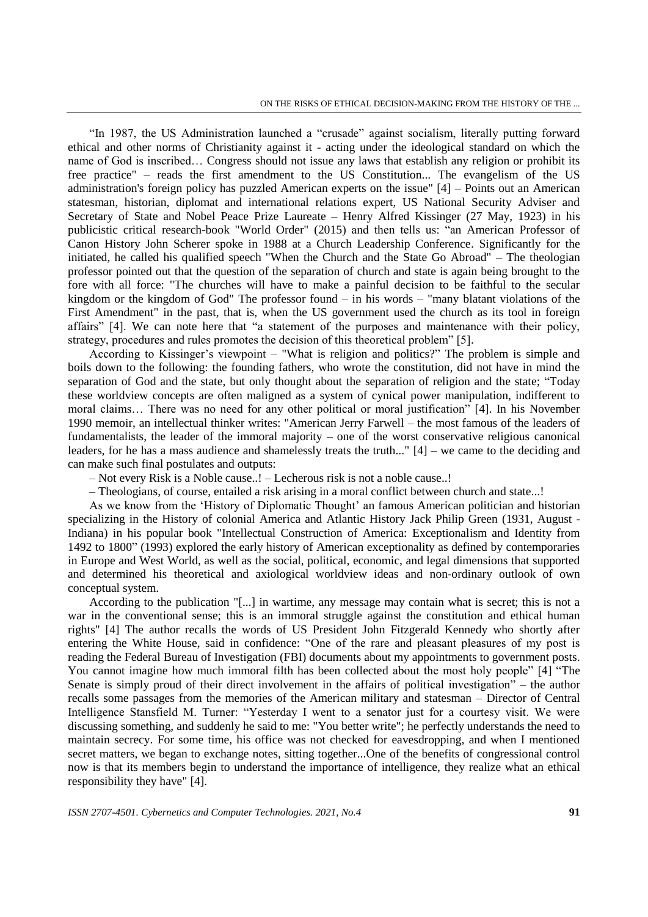"In 1987, the US Administration launched a "crusade" against socialism, literally putting forward ethical and other norms of Christianity against it - acting under the ideological standard on which the name of God is inscribed… Congress should not issue any laws that establish any religion or prohibit its free practice" – reads the first amendment to the US Constitution... The evangelism of the US administration's foreign policy has puzzled American experts on the issue" [4] – Points out an American statesman, historian, diplomat and international relations expert, US National Security Adviser and Secretary of State and Nobel Peace Prize Laureate – Henry Alfred Kissinger (27 May, 1923) in his publicistic critical research-book "World Order" (2015) and then tells us: "an American Professor of Canon History John Scherer spoke in 1988 at a Church Leadership Conference. Significantly for the initiated, he called his qualified speech "When the Church and the State Go Abroad" – The theologian professor pointed out that the question of the separation of church and state is again being brought to the fore with all force: "The churches will have to make a painful decision to be faithful to the secular kingdom or the kingdom of God" The professor found – in his words – "many blatant violations of the First Amendment" in the past, that is, when the US government used the church as its tool in foreign affairs" [4]. We can note here that "a statement of the purposes and maintenance with their policy, strategy, procedures and rules promotes the decision of this theoretical problem" [5].

According to Kissinger's viewpoint – "What is religion and politics?" The problem is simple and boils down to the following: the founding fathers, who wrote the constitution, did not have in mind the separation of God and the state, but only thought about the separation of religion and the state; "Today these worldview concepts are often maligned as a system of cynical power manipulation, indifferent to moral claims… There was no need for any other political or moral justification" [4]. In his November 1990 memoir, an intellectual thinker writes: "American Jerry Farwell – the most famous of the leaders of fundamentalists, the leader of the immoral majority – one of the worst conservative religious canonical leaders, for he has a mass audience and shamelessly treats the truth..." [4] – we came to the deciding and can make such final postulates and outputs:

– Not every Risk is a Noble cause..! – Lecherous risk is not a noble cause..!

– Theologians, of course, entailed a risk arising in a moral conflict between church and state...!

As we know from the 'History of Diplomatic Thought' an famous American politician and historian specializing in the History of colonial America and Atlantic History Jack Philip Green (1931, August - Indiana) in his popular book "Intellectual Construction of America: Exceptionalism and Identity from 1492 to 1800" (1993) explored the early history of American exceptionality as defined by contemporaries in Europe and West World, as well as the social, political, economic, and legal dimensions that supported and determined his theoretical and axiological worldview ideas and non-ordinary outlook of own conceptual system.

According to the publication "[...] in wartime, any message may contain what is secret; this is not a war in the conventional sense; this is an immoral struggle against the constitution and ethical human rights" [4] The author recalls the words of US President John Fitzgerald Kennedy who shortly after entering the White House, said in confidence: "One of the rare and pleasant pleasures of my post is reading the Federal Bureau of Investigation (FBI) documents about my appointments to government posts. You cannot imagine how much immoral filth has been collected about the most holy people" [4] "The Senate is simply proud of their direct involvement in the affairs of political investigation" – the author recalls some passages from the memories of the American military and statesman – Director of Central Intelligence Stansfield M. Turner: "Yesterday I went to a senator just for a courtesy visit. We were discussing something, and suddenly he said to me: "You better write"; he perfectly understands the need to maintain secrecy. For some time, his office was not checked for eavesdropping, and when I mentioned secret matters, we began to exchange notes, sitting together...One of the benefits of congressional control now is that its members begin to understand the importance of intelligence, they realize what an ethical responsibility they have" [4].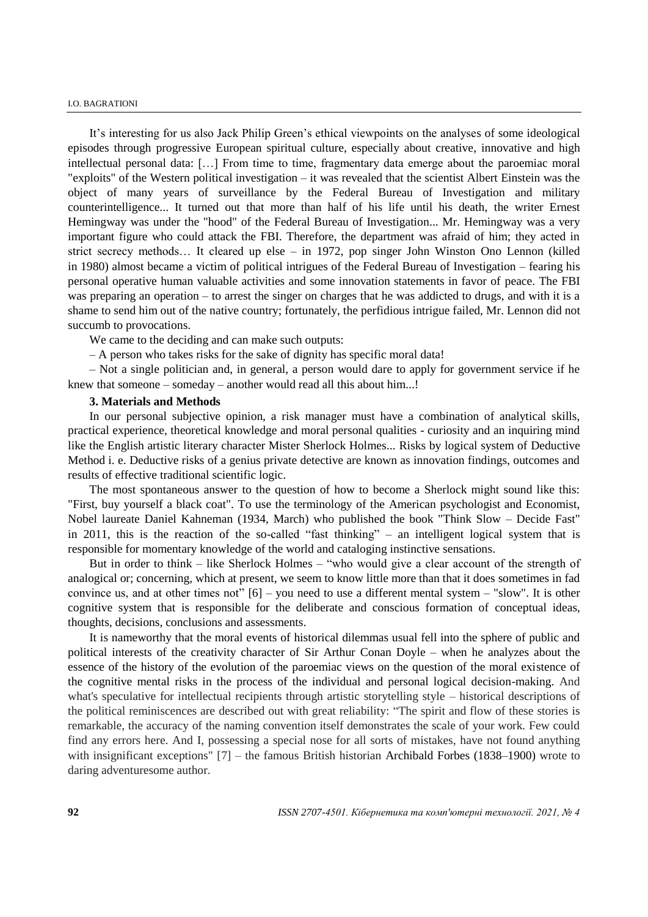#### I.O. BAGRATIONI

It's interesting for us also Jack Philip Green's ethical viewpoints on the analyses of some ideological episodes through progressive European spiritual culture, especially about creative, innovative and high intellectual personal data: […] From time to time, fragmentary data emerge about the paroemiac moral "exploits" of the Western political investigation – it was revealed that the scientist Albert Einstein was the object of many years of surveillance by the Federal Bureau of Investigation and military counterintelligence... It turned out that more than half of his life until his death, the writer Ernest Hemingway was under the "hood" of the Federal Bureau of Investigation... Mr. Hemingway was a very important figure who could attack the FBI. Therefore, the department was afraid of him; they acted in strict secrecy methods… It cleared up else – in 1972, pop singer John Winston Ono Lennon (killed in 1980) almost became a victim of political intrigues of the Federal Bureau of Investigation – fearing his personal operative human valuable activities and some innovation statements in favor of peace. The FBI was preparing an operation – to arrest the singer on charges that he was addicted to drugs, and with it is a shame to send him out of the native country; fortunately, the perfidious intrigue failed, Mr. Lennon did not succumb to provocations.

We came to the deciding and can make such outputs:

– A person who takes risks for the sake of dignity has specific moral data!

– Not a single politician and, in general, a person would dare to apply for government service if he knew that someone – someday – another would read all this about him...!

### **3. Materials and Methods**

In our personal subjective opinion, a risk manager must have a combination of analytical skills, practical experience, theoretical knowledge and moral personal qualities - curiosity and an inquiring mind like the English artistic literary character Mister Sherlock Holmes... Risks by logical system of Deductive Method i. e. Deductive risks of a genius private detective are known as innovation findings, outcomes and results of effective traditional scientific logic.

The most spontaneous answer to the question of how to become a Sherlock might sound like this: "First, buy yourself a black coat". To use the terminology of the American psychologist and Economist, Nobel laureate Daniel Kahneman (1934, March) who published the book "Think Slow – Decide Fast" in 2011, this is the reaction of the so-called "fast thinking" – an intelligent logical system that is responsible for momentary knowledge of the world and cataloging instinctive sensations.

But in order to think – like Sherlock Holmes – "who would give a clear account of the strength of analogical or; concerning, which at present, we seem to know little more than that it does sometimes in fad convince us, and at other times not" [6] – you need to use a different mental system – "slow". It is other cognitive system that is responsible for the deliberate and conscious formation of conceptual ideas, thoughts, decisions, conclusions and assessments.

It is nameworthy that the moral events of historical dilemmas usual fell into the sphere of public and political interests of the creativity character of Sir Arthur Conan Doyle – when he analyzes about the essence of the history of the evolution of the paroemiac views on the question of the moral existence of the cognitive mental risks in the process of the individual and personal logical decision-making. And what's speculative for intellectual recipients through artistic storytelling style – historical descriptions of the political reminiscences are described out with great reliability: "The spirit and flow of these stories is remarkable, the accuracy of the naming convention itself demonstrates the scale of your work. Few could find any errors here. And I, possessing a special nose for all sorts of mistakes, have not found anything with insignificant exceptions" [7] – the famous British historian Archibald Forbes (1838–1900) wrote to daring adventuresome author.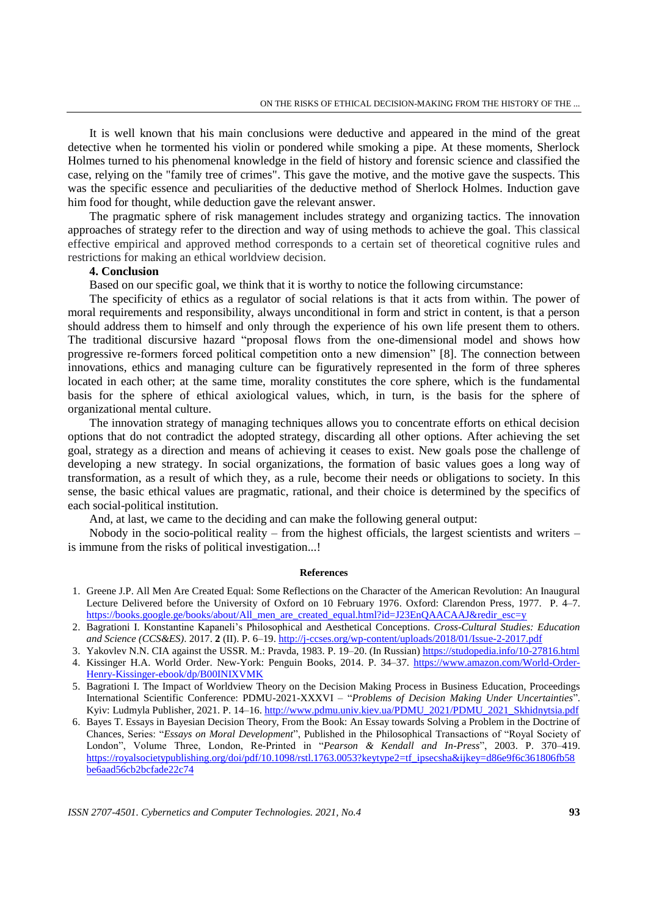It is well known that his main conclusions were deductive and appeared in the mind of the great detective when he tormented his violin or pondered while smoking a pipe. At these moments, Sherlock Holmes turned to his phenomenal knowledge in the field of history and forensic science and classified the case, relying on the "family tree of crimes". This gave the motive, and the motive gave the suspects. This was the specific essence and peculiarities of the deductive method of Sherlock Holmes. Induction gave him food for thought, while deduction gave the relevant answer.

The pragmatic sphere of risk management includes strategy and organizing tactics. The innovation approaches of strategy refer to the direction and way of using methods to achieve the goal. This classical effective empirical and approved method corresponds to a certain set of theoretical cognitive rules and restrictions for making an ethical worldview decision.

## **4. Conclusion**

Based on our specific goal, we think that it is worthy to notice the following circumstance:

The specificity of ethics as a regulator of social relations is that it acts from within. The power of moral requirements and responsibility, always unconditional in form and strict in content, is that a person should address them to himself and only through the experience of his own life present them to others. The traditional discursive hazard "proposal flows from the one-dimensional model and shows how progressive re-formers forced political competition onto a new dimension" [8]. The connection between innovations, ethics and managing culture can be figuratively represented in the form of three spheres located in each other; at the same time, morality constitutes the core sphere, which is the fundamental basis for the sphere of ethical axiological values, which, in turn, is the basis for the sphere of organizational mental culture.

The innovation strategy of managing techniques allows you to concentrate efforts on ethical decision options that do not contradict the adopted strategy, discarding all other options. After achieving the set goal, strategy as a direction and means of achieving it ceases to exist. New goals pose the challenge of developing a new strategy. In social organizations, the formation of basic values goes a long way of transformation, as a result of which they, as a rule, become their needs or obligations to society. In this sense, the basic ethical values are pragmatic, rational, and their choice is determined by the specifics of each social-political institution.

And, at last, we came to the deciding and can make the following general output:

Nobody in the socio-political reality – from the highest officials, the largest scientists and writers – is immune from the risks of political investigation...!

#### **References**

- 1. Greene J.P. All Men Are Created Equal: Some Reflections on the Character of the American Revolution: An Inaugural Lecture Delivered before the University of Oxford on 10 February 1976. Oxford: Clarendon Press, 1977. P. 4–7. https://books.google.ge/books/about/All\_men\_are\_created\_equal.html?id=J23EnOAACAAJ&redir\_esc=y
- 2. Bagrationi I. Konstantine Kapaneli's Philosophical and Aesthetical Conceptions. *Cross-Cultural Studies: Education and Science (CCS&ES)*. 2017. **2** (II). P. 6–19. <http://j-ccses.org/wp-content/uploads/2018/01/Issue-2-2017.pdf>
- 3. Yakovlev N.N. CIA against the USSR. M.: Pravda, 1983. P. 19–20. (In Russian) <https://studopedia.info/10-27816.html>
- 4. Kissinger H.A. World Order. New-York: Penguin Books, 2014. P. 34–37. [https://www.amazon.com/World-Order-](https://www.amazon.com/World-Order-Henry-Kissinger-ebook/dp/B00INIXVMK)[Henry-Kissinger-ebook/dp/B00INIXVMK](https://www.amazon.com/World-Order-Henry-Kissinger-ebook/dp/B00INIXVMK)
- 5. Bagrationi I. The Impact of Worldview Theory on the Decision Making Process in Business Education, Proceedings International Scientific Conference: PDMU-2021-XXXVI – "*Problems of Decision Making Under Uncertainties*". Kyiv: Ludmyla Publisher, 2021. P. 14–16. [http://www.pdmu.univ.kiev.ua/PDMU\\_2021/PDMU\\_2021\\_Skhidnytsia.pdf](http://www.pdmu.univ.kiev.ua/PDMU_2021/PDMU_2021_Skhidnytsia.pdf)
- 6. Bayes T. Essays in Bayesian Decision Theory, From the Book: An Essay towards Solving a Problem in the Doctrine of Chances, Series: "*Essays on Moral Development*", Published in the Philosophical Transactions of "Royal Society of London", Volume Three, London, Re-Printed in "*Pearson & Kendall and In-Press*", 2003. P. 370–419. [https://royalsocietypublishing.org/doi/pdf/10.1098/rstl.1763.0053?keytype2=tf\\_ipsecsha&ijkey=d86e9f6c361806fb58](https://royalsocietypublishing.org/doi/pdf/10.1098/rstl.1763.0053?keytype2=tf_ipsecsha&ijkey=d86e9f6c361806fb58be6aad56cb2bcfade22c74) [be6aad56cb2bcfade22c74](https://royalsocietypublishing.org/doi/pdf/10.1098/rstl.1763.0053?keytype2=tf_ipsecsha&ijkey=d86e9f6c361806fb58be6aad56cb2bcfade22c74)